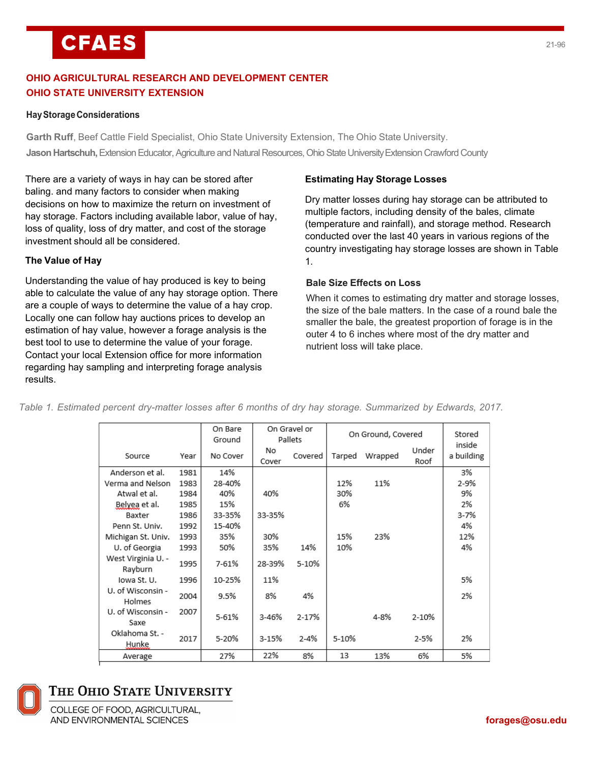# **CFAES**

## **OHIO AGRICULTURAL RESEARCH AND DEVELOPMENT CENTER OHIO STATE UNIVERSITY EXTENSION**

## **HayStorageConsiderations**

**Garth Ruff**, Beef Cattle Field Specialist, Ohio State University Extension, The Ohio State University. **Jason Hartschuh,** Extension Educator, Agriculture and Natural Resources, Ohio State University Extension Crawford County

There are a variety of ways in hay can be stored after baling. and many factors to consider when making decisions on how to maximize the return on investment of hay storage. Factors including available labor, value of hay, loss of quality, loss of dry matter, and cost of the storage investment should all be considered.

## **The Value of Hay**

Understanding the value of hay produced is key to being able to calculate the value of any hay storage option. There are a couple of ways to determine the value of a hay crop. Locally one can follow hay auctions prices to develop an estimation of hay value, however a forage analysis is the best tool to use to determine the value of your forage. Contact your local Extension office for more information regarding hay sampling and interpreting forage analysis results.

## **Estimating Hay Storage Losses**

Dry matter losses during hay storage can be attributed to multiple factors, including density of the bales, climate (temperature and rainfall), and storage method. Research conducted over the last 40 years in various regions of the country investigating hay storage losses are shown in Table 1.

## **Bale Size Effects on Loss**

When it comes to estimating dry matter and storage losses, the size of the bale matters. In the case of a round bale the smaller the bale, the greatest proportion of forage is in the outer 4 to 6 inches where most of the dry matter and nutrient loss will take place.

|                               |      | On Bare<br>Ground |             | On Gravel or<br>Pallets |        | On Ground, Covered |               | Stored               |
|-------------------------------|------|-------------------|-------------|-------------------------|--------|--------------------|---------------|----------------------|
| Source                        | Year | No Cover          | No<br>Cover | Covered                 | Tarped | Wrapped            | Under<br>Roof | inside<br>a building |
| Anderson et al.               | 1981 | 14%               |             |                         |        |                    |               | 3%                   |
| Verma and Nelson              | 1983 | 28-40%            |             |                         | 12%    | 11%                |               | 2-9%                 |
| Atwal et al.                  | 1984 | 40%               | 40%         |                         | 30%    |                    |               | 9%                   |
| Belyea et al.                 | 1985 | 15%               |             |                         | 6%     |                    |               | 2%                   |
| Baxter                        | 1986 | 33-35%            | 33-35%      |                         |        |                    |               | $3 - 7%$             |
| Penn St. Univ.                | 1992 | 15-40%            |             |                         |        |                    |               | 4%                   |
| Michigan St. Univ.            | 1993 | 35%               | 30%         |                         | 15%    | 23%                |               | 12%                  |
| U. of Georgia                 | 1993 | 50%               | 35%         | 14%                     | 10%    |                    |               | 4%                   |
| West Virginia U. -<br>Rayburn | 1995 | 7-61%             | 28-39%      | 5-10%                   |        |                    |               |                      |
| Iowa St. U.                   | 1996 | 10-25%            | 11%         |                         |        |                    |               | 5%                   |
| U. of Wisconsin -<br>Holmes   | 2004 | 9.5%              | 8%          | 4%                      |        |                    |               | 2%                   |
| U. of Wisconsin -<br>Saxe     | 2007 | 5-61%             | 3-46%       | 2-17%                   |        | 4-8%               | 2-10%         |                      |
| Oklahoma St. -<br>Hunke       | 2017 | 5-20%             | 3-15%       | $2 - 4%$                | 5-10%  |                    | 2-5%          | 2%                   |
| Average                       |      | 27%               | 22%         | 8%                      | 13     | 13%                | 6%            | 5%                   |
|                               |      |                   |             |                         |        |                    |               |                      |

Table 1. Estimated percent dry-matter losses after 6 months of dry hay storage. Summarized by Edwards, 2017.



# THE OHIO STATE UNIVERSITY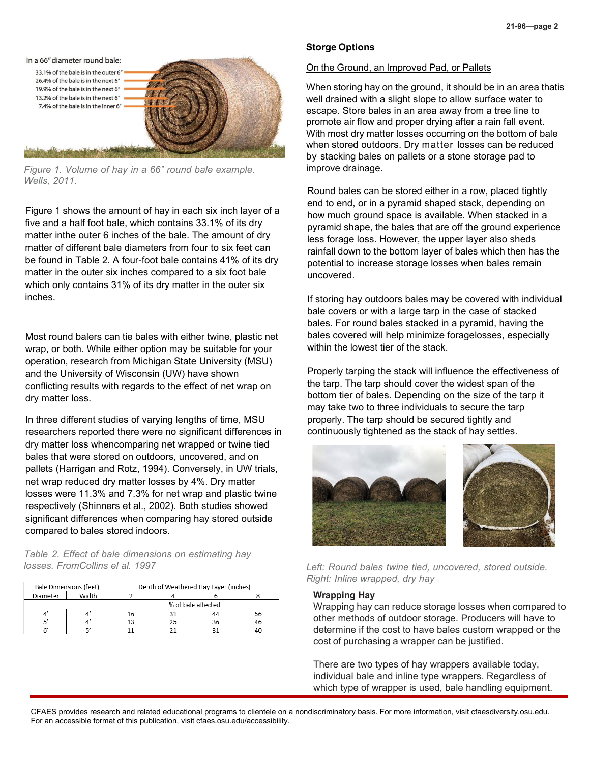

*Figure 1. Volume of hay in a 66" round bale example. Wells, 2011.*

Figure 1 shows the amount of hay in each six inch layer of a five and a half foot bale, which contains 33.1% of its dry matter inthe outer 6 inches of the bale. The amount of dry matter of different bale diameters from four to six feet can be found in Table 2. A four-foot bale contains 41% of its dry matter in the outer six inches compared to a six foot bale which only contains 31% of its dry matter in the outer six inches.

Most round balers can tie bales with either twine, plastic net wrap, or both. While either option may be suitable for your operation, research from Michigan State University (MSU) and the University of Wisconsin (UW) have shown conflicting results with regards to the effect of net wrap on dry matter loss.

In three different studies of varying lengths of time, MSU researchers reported there were no significant differences in dry matter loss whencomparing net wrapped or twine tied bales that were stored on outdoors, uncovered, and on pallets (Harrigan and Rotz, 1994). Conversely, in UW trials, net wrap reduced dry matter losses by 4%. Dry matter losses were 11.3% and 7.3% for net wrap and plastic twine respectively (Shinners et al., 2002). Both studies showed significant differences when comparing hay stored outside compared to bales stored indoors.

*Table 2. Effect of bale dimensions on estimating hay losses. FromCollins el al. 1997*

|          | Bale Dimensions (feet) |    | Depth of Weathered Hay Layer (inches) |    |    |  |  |
|----------|------------------------|----|---------------------------------------|----|----|--|--|
| Diameter | Width                  |    |                                       |    |    |  |  |
|          | % of bale affected     |    |                                       |    |    |  |  |
|          |                        | 16 | 31                                    | 44 | 56 |  |  |
|          |                        | 13 | 25                                    | 36 | 46 |  |  |
|          |                        |    |                                       |    | 40 |  |  |

#### **Storge Options**

#### On the Ground, an Improved Pad, or Pallets

When storing hay on the ground, it should be in an area thatis well drained with a slight slope to allow surface water to escape. Store bales in an area away from a tree line to promote air flow and proper drying after a rain fall event. With most dry matter losses occurring on the bottom of bale when stored outdoors. Dry matter losses can be reduced by stacking bales on pallets or a stone storage pad to improve drainage.

Round bales can be stored either in a row, placed tightly end to end, or in a pyramid shaped stack, depending on how much ground space is available. When stacked in a pyramid shape, the bales that are off the ground experience less forage loss. However, the upper layer also sheds rainfall down to the bottom layer of bales which then has the potential to increase storage losses when bales remain uncovered.

If storing hay outdoors bales may be covered with individual bale covers or with a large tarp in the case of stacked bales. For round bales stacked in a pyramid, having the bales covered will help minimize foragelosses, especially within the lowest tier of the stack.

Properly tarping the stack will influence the effectiveness of the tarp. The tarp should cover the widest span of the bottom tier of bales. Depending on the size of the tarp it may take two to three individuals to secure the tarp properly. The tarp should be secured tightly and continuously tightened as the stack of hay settles.



*Left: Round bales twine tied, uncovered, stored outside. Right: Inline wrapped, dry hay*

#### **Wrapping Hay**

Wrapping hay can reduce storage losses when compared to other methods of outdoor storage. Producers will have to determine if the cost to have bales custom wrapped or the cost of purchasing a wrapper can be justified.

There are two types of hay wrappers available today, individual bale and inline type wrappers. Regardless of which type of wrapper is used, bale handling equipment.

CFAES provides research and related educational programs to clientele on a nondiscriminatory basis. For more information, visit cfaesdiversity.osu.edu. For an accessible format of this publication, visit cfaes.osu.edu/accessibility.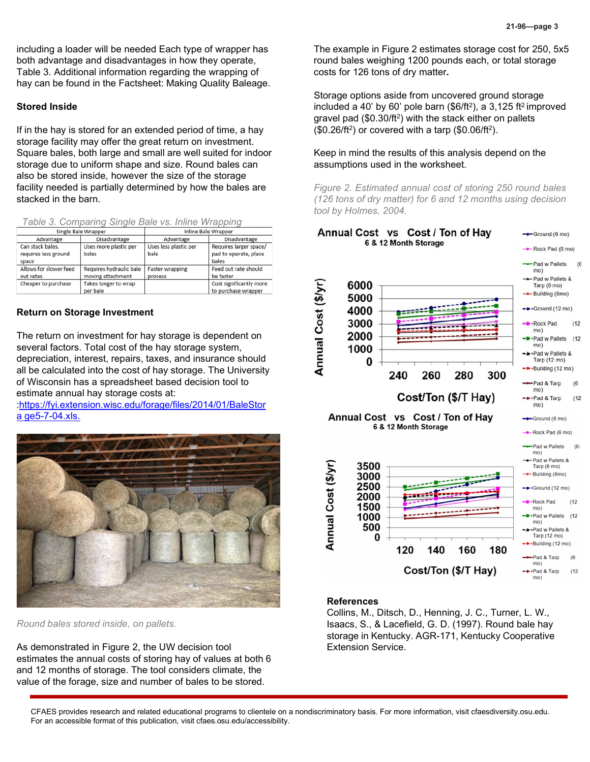including a loader will be needed Each type of wrapper has both advantage and disadvantages in how they operate, Table 3. Additional information regarding the wrapping of hay can be found in the Factsheet: Making Quality Baleage.

#### **Stored Inside**

If in the hay is stored for an extended period of time, a hay storage facility may offer the great return on investment. Square bales, both large and small are well suited for indoor storage due to uniform shape and size. Round bales can also be stored inside, however the size of the storage facility needed is partially determined by how the bales are stacked in the barn.

| Table 3. Comparing Single Bale vs. Inline Wrapping |  |  |  |
|----------------------------------------------------|--|--|--|
|----------------------------------------------------|--|--|--|

|                        | Single Bale Wrapper     | Inline Bale Wrapper   |                         |  |  |
|------------------------|-------------------------|-----------------------|-------------------------|--|--|
| Advantage              | Disadvantage            | Advantage             | Disadvantage            |  |  |
| Can stack bales,       | Uses more plastic per   | Uses less plastic per | Requires larger space/  |  |  |
| requires less ground   | bales                   | bale                  | pad to operate, place   |  |  |
| space                  |                         |                       | bales                   |  |  |
| Allows for slower feed | Requires hydraulic bale | Faster wrapping       | Feed out rate should    |  |  |
| out rates              | moving attachment       | process               | be faster               |  |  |
| Cheaper to purchase    | Takes longer to wrap    |                       | Cost significantly more |  |  |
|                        | per bale                |                       | to purchase wrapper     |  |  |

#### **Return on Storage Investment**

The return on investment for hay storage is dependent on several factors. Total cost of the hay storage system, depreciation, interest, repairs, taxes, and insurance should all be calculated into the cost of hay storage. The University of Wisconsin has a spreadsheet based decision tool to estimate annual hay storage costs at:

[:https://fyi.extension.wisc.edu/forage/files/2014/01/BaleStor](https://fyi.extension.wisc.edu/forage/files/2014/01/BaleStora%20ge5-7-04.xls) a [ge5-7-04.xls.](https://fyi.extension.wisc.edu/forage/files/2014/01/BaleStora%20ge5-7-04.xls)



*Round bales stored inside, on pallets.*

As demonstrated in Figure 2, the UW decision tool estimates the annual costs of storing hay of values at both 6 and 12 months of storage. The tool considers climate, the value of the forage, size and number of bales to be stored.

The example in Figure 2 estimates storage cost for 250, 5x5 round bales weighing 1200 pounds each, or total storage costs for 126 tons of dry matter**.**

Storage options aside from uncovered ground storage included a 40' by 60' pole barn  $(\$6/ft^2)$ , a 3,125 ft<sup>2</sup> improved gravel pad (\$0.30/ft<sup>2</sup>) with the stack either on pallets  $$0.26/ft^2$$  or covered with a tarp  $$0.06/ft^2$$ .

### Keep in mind the results of this analysis depend on the assumptions used in the worksheet.

*Figure 2. Estimated annual cost of storing 250 round bales (126 tons of dry matter) for 6 and 12 months using decision tool by Holmes, 2004.*



#### **References**

Collins, M., Ditsch, D., Henning, J. C., Turner, L. W., Isaacs, S., & Lacefield, G. D. (1997). Round bale hay storage in Kentucky. AGR-171, Kentucky Cooperative Extension Service.

CFAES provides research and related educational programs to clientele on a nondiscriminatory basis. For more information, visit cfaesdiversity.osu.edu. For an accessible format of this publication, visit cfaes.osu.edu/accessibility.